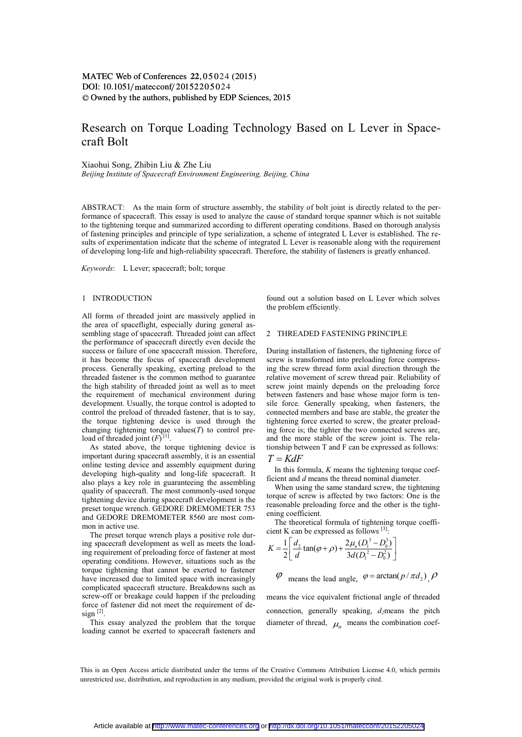# DOI:  $10.1051/m \text{ atecconf} / 20152205024$ -<sup>C</sup> Owned by the authors, published by EDP Sciences, 2015 MATEC Web of Conferences 22, 05024 (2015)<br>DOI: 10.1051/matecconf/20152205024

# Research on Torque Loading Technology Based on L Lever in Spacecraft Bolt

Xiaohui Song, Zhibin Liu & Zhe Liu

*Beijing Institute of Spacecraft Environment Engineering, Beijing, China*

ABSTRACT: As the main form of structure assembly, the stability of bolt joint is directly related to the performance of spacecraft. This essay is used to analyze the cause of standard torque spanner which is not suitable to the tightening torque and summarized according to different operating conditions. Based on thorough analysis of fastening principles and principle of type serialization, a scheme of integrated L Lever is established. The results of experimentation indicate that the scheme of integrated L Lever is reasonable along with the requirement of developing long-life and high-reliability spacecraft. Therefore, the stability of fasteners is greatly enhanced.

*Keywords*: L Lever; spacecraft; bolt; torque

#### 1 INTRODUCTION

All forms of threaded joint are massively applied in the area of spaceflight, especially during general assembling stage of spacecraft. Threaded joint can affect the performance of spacecraft directly even decide the success or failure of one spacecraft mission. Therefore, it has become the focus of spacecraft development process. Generally speaking, exerting preload to the threaded fastener is the common method to guarantee the high stability of threaded joint as well as to meet the requirement of mechanical environment during development. Usually, the torque control is adopted to control the preload of threaded fastener, that is to say, the torque tightening device is used through the changing tightening torque values(*T*) to control preload of threaded joint  $(F)^{[1]}$ .

As stated above, the torque tightening device is important during spacecraft assembly, it is an essential online testing device and assembly equipment during developing high-quality and long-life spacecraft. It also plays a key role in guaranteeing the assembling quality of spacecraft. The most commonly-used torque tightening device during spacecraft development is the preset torque wrench. GEDORE DREMOMETER 753 and GEDORE DREMOMETER 8560 are most common in active use.

The preset torque wrench plays a positive role during spacecraft development as well as meets the loading requirement of preloading force of fastener at most operating conditions. However, situations such as the torque tightening that cannot be exerted to fastener have increased due to limited space with increasingly complicated spacecraft structure. Breakdowns such as screw-off or breakage could happen if the preloading force of fastener did not meet the requirement of design  $^{[2]}$ .

This essay analyzed the problem that the torque loading cannot be exerted to spacecraft fasteners and

found out a solution based on L Lever which solves the problem efficiently.

#### 2 THREADED FASTENING PRINCIPLE

During installation of fasteners, the tightening force of screw is transformed into preloading force compressing the screw thread form axial direction through the relative movement of screw thread pair. Reliability of screw joint mainly depends on the preloading force between fasteners and base whose major form is tensile force. Generally speaking, when fasteners, the connected members and base are stable, the greater the tightening force exerted to screw, the greater preloading force is; the tighter the two connected screws are, and the more stable of the screw joint is. The relationship between T and F can be expressed as follows:  $T = K dF$ 

$$
-\mathbf{N}u\mathbf{I}
$$

 In this formula, *K* means the tightening torque coefficient and *d* means the thread nominal diameter.

When using the same standard screw, the tightening torque of screw is affected by two factors: One is the reasonable preloading force and the other is the tightening coefficient.

The theoretical formula of tightening torque coefficient K can be expressed as follows [3]:

$$
K = \frac{1}{2} \left[ \frac{d_2}{d} \tan(\varphi + \rho) + \frac{2\mu_n (D_1^3 - D_0^3)}{3d(D_1^2 - D_0^2)} \right]
$$

 $\varphi$  means the lead angle,  $\varphi = \arctan(p / \pi d_2)$ ,  $\varphi$ 

means the vice equivalent frictional angle of threaded connection, generally speaking,  $d_2$  means the pitch diameter of thread,  $\mu_n$  means the combination coef-

This is an Open Access article distributed under the terms of the Creative Commons Attribution License 4.0, which permits unrestricted use, distribution, and reproduction in any medium, provided the original work is properly cited.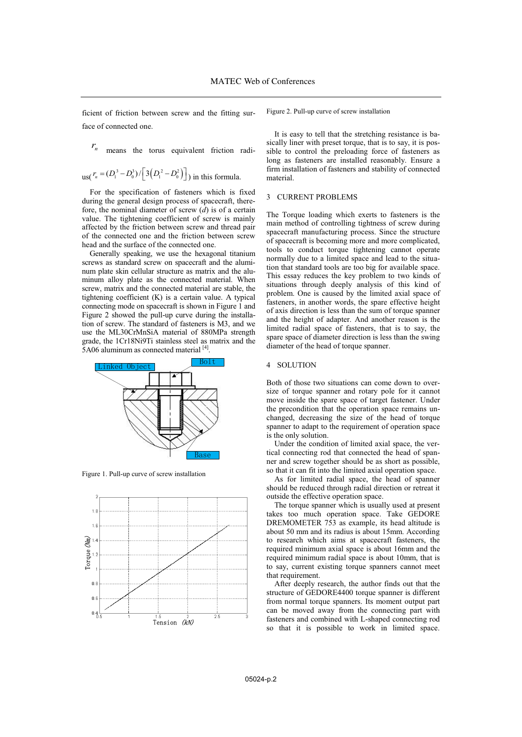ficient of friction between screw and the fitting surface of connected one.

$$
r_n
$$
 means the torus equivalent friction radi-

us(
$$
l_n = (D_1^3 - D_0^3) / [3(D_1^2 - D_0^2)]
$$
) in this formula.

For the specification of fasteners which is fixed during the general design process of spacecraft, therefore, the nominal diameter of screw (*d*) is of a certain value. The tightening coefficient of screw is mainly affected by the friction between screw and thread pair of the connected one and the friction between screw head and the surface of the connected one.

Generally speaking, we use the hexagonal titanium screws as standard screw on spacecraft and the aluminum plate skin cellular structure as matrix and the aluminum alloy plate as the connected material. When screw, matrix and the connected material are stable, the tightening coefficient (K) is a certain value. A typical connecting mode on spacecraft is shown in Figure 1 and Figure 2 showed the pull-up curve during the installation of screw. The standard of fasteners is M3, and we use the ML30CrMnSiA material of 880MPa strength grade, the 1Cr18Ni9Ti stainless steel as matrix and the 5A06 aluminum as connected material [4].



Figure 1. Pull-up curve of screw installation



Figure 2. Pull-up curve of screw installation

It is easy to tell that the stretching resistance is basically liner with preset torque, that is to say, it is possible to control the preloading force of fasteners as long as fasteners are installed reasonably. Ensure a firm installation of fasteners and stability of connected material.

## 3 CURRENT PROBLEMS

The Torque loading which exerts to fasteners is the main method of controlling tightness of screw during spacecraft manufacturing process. Since the structure of spacecraft is becoming more and more complicated, tools to conduct torque tightening cannot operate normally due to a limited space and lead to the situation that standard tools are too big for available space. This essay reduces the key problem to two kinds of situations through deeply analysis of this kind of problem. One is caused by the limited axial space of fasteners, in another words, the spare effective height of axis direction is less than the sum of torque spanner and the height of adapter. And another reason is the limited radial space of fasteners, that is to say, the spare space of diameter direction is less than the swing diameter of the head of torque spanner.

#### 4 SOLUTION

Both of those two situations can come down to oversize of torque spanner and rotary pole for it cannot move inside the spare space of target fastener. Under the precondition that the operation space remains unchanged, decreasing the size of the head of torque spanner to adapt to the requirement of operation space is the only solution.

Under the condition of limited axial space, the vertical connecting rod that connected the head of spanner and screw together should be as short as possible, so that it can fit into the limited axial operation space.

As for limited radial space, the head of spanner should be reduced through radial direction or retreat it outside the effective operation space.

The torque spanner which is usually used at present takes too much operation space. Take GEDORE DREMOMETER 753 as example, its head altitude is about 50 mm and its radius is about 15mm. According to research which aims at spacecraft fasteners, the required minimum axial space is about 16mm and the required minimum radial space is about 10mm, that is to say, current existing torque spanners cannot meet that requirement.

After deeply research, the author finds out that the structure of GEDORE4400 torque spanner is different from normal torque spanners. Its moment output part can be moved away from the connecting part with fasteners and combined with L-shaped connecting rod so that it is possible to work in limited space.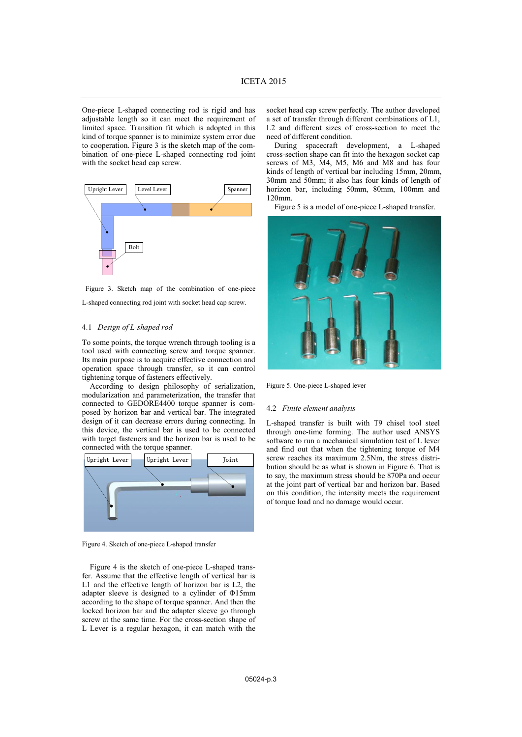One-piece L-shaped connecting rod is rigid and has adjustable length so it can meet the requirement of limited space. Transition fit which is adopted in this kind of torque spanner is to minimize system error due to cooperation. Figure 3 is the sketch map of the combination of one-piece L-shaped connecting rod joint with the socket head cap screw.



 Figure 3. Sketch map of the combination of one-piece L-shaped connecting rod joint with socket head cap screw.

#### 4.1 *Design of L-shaped rod*

To some points, the torque wrench through tooling is a tool used with connecting screw and torque spanner. Its main purpose is to acquire effective connection and operation space through transfer, so it can control tightening torque of fasteners effectively.

According to design philosophy of serialization, modularization and parameterization, the transfer that connected to GEDORE4400 torque spanner is composed by horizon bar and vertical bar. The integrated design of it can decrease errors during connecting. In this device, the vertical bar is used to be connected with target fasteners and the horizon bar is used to be connected with the torque spanner.



Figure 4. Sketch of one-piece L-shaped transfer

Figure 4 is the sketch of one-piece L-shaped transfer. Assume that the effective length of vertical bar is L1 and the effective length of horizon bar is L2, the adapter sleeve is designed to a cylinder of Φ15mm according to the shape of torque spanner. And then the locked horizon bar and the adapter sleeve go through screw at the same time. For the cross-section shape of L Lever is a regular hexagon, it can match with the socket head cap screw perfectly. The author developed a set of transfer through different combinations of L1, L2 and different sizes of cross-section to meet the need of different condition.

During spacecraft development, a L-shaped cross-section shape can fit into the hexagon socket cap screws of M3, M4, M5, M6 and M8 and has four kinds of length of vertical bar including 15mm, 20mm, 30mm and 50mm; it also has four kinds of length of horizon bar, including 50mm, 80mm, 100mm and 120mm.

Figure 5 is a model of one-piece L-shaped transfer.



Figure 5. One-piece L-shaped lever

#### 4.2 *Finite element analysis*

L-shaped transfer is built with T9 chisel tool steel through one-time forming. The author used ANSYS software to run a mechanical simulation test of L lever and find out that when the tightening torque of M4 screw reaches its maximum 2.5Nm, the stress distribution should be as what is shown in Figure 6. That is to say, the maximum stress should be 870Pa and occur at the joint part of vertical bar and horizon bar. Based on this condition, the intensity meets the requirement of torque load and no damage would occur.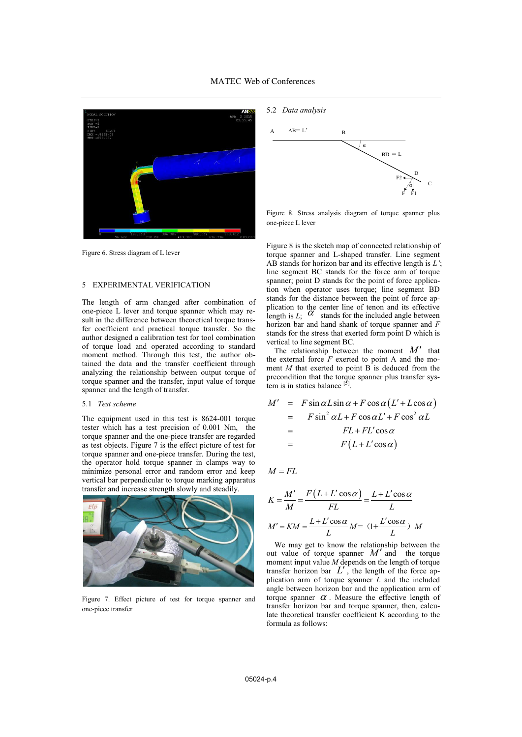

Figure 6. Stress diagram of L lever

# 5 EXPERIMENTAL VERIFICATION

The length of arm changed after combination of one-piece L lever and torque spanner which may result in the difference between theoretical torque transfer coefficient and practical torque transfer. So the author designed a calibration test for tool combination of torque load and operated according to standard moment method. Through this test, the author obtained the data and the transfer coefficient through analyzing the relationship between output torque of torque spanner and the transfer, input value of torque spanner and the length of transfer.

#### 5.1 *Test scheme*

The equipment used in this test is 8624-001 torque tester which has a test precision of 0.001 Nm, the torque spanner and the one-piece transfer are regarded as test objects. Figure 7 is the effect picture of test for torque spanner and one-piece transfer. During the test, the operator hold torque spanner in clamps way to minimize personal error and random error and keep vertical bar perpendicular to torque marking apparatus transfer and increase strength slowly and steadily.



Figure 7. Effect picture of test for torque spanner and one-piece transfer



Figure 8. Stress analysis diagram of torque spanner plus one-piece L lever

C

Figure 8 is the sketch map of connected relationship of torque spanner and L-shaped transfer. Line segment AB stands for horizon bar and its effective length is *L'*; line segment BC stands for the force arm of torque spanner; point D stands for the point of force application when operator uses torque; line segment BD stands for the distance between the point of force application to the center line of tenon and its effective length is  $L$ ;  $\alpha$  stands for the included angle between horizon bar and hand shank of torque spanner and *F* stands for the stress that exerted form point D which is vertical to line segment BC.

The relationship between the moment  $M'$  that the external force  $F$  exerted to point A and the moment *M* that exerted to point B is deduced from the precondition that the torque spanner plus transfer system is in statics balance  $[5]$ .

$$
M' = F \sin \alpha L \sin \alpha + F \cos \alpha (L' + L \cos \alpha)
$$
  
= 
$$
F \sin^2 \alpha L + F \cos \alpha L' + F \cos^2 \alpha L
$$
  
= 
$$
FL + FL' \cos \alpha
$$
  
= 
$$
F(L + L' \cos \alpha)
$$

 $M = FL$ 

$$
K = \frac{M'}{M} = \frac{F(L + L'\cos\alpha)}{FL} = \frac{L + L'\cos\alpha}{L}
$$

$$
M' = KM = \frac{L + L'\cos\alpha}{L}M = (1 + \frac{L'\cos\alpha}{L})M
$$

We may get to know the relationship between the out value of torque spanner  $M'$  and the torque moment input value *M* depends on the length of torque transfer horizon bar  $L'$ , the length of the force application arm of torque spanner *L* and the included angle between horizon bar and the application arm of torque spanner  $\alpha$ . Measure the effective length of transfer horizon bar and torque spanner, then, calculate theoretical transfer coefficient K according to the formula as follows: